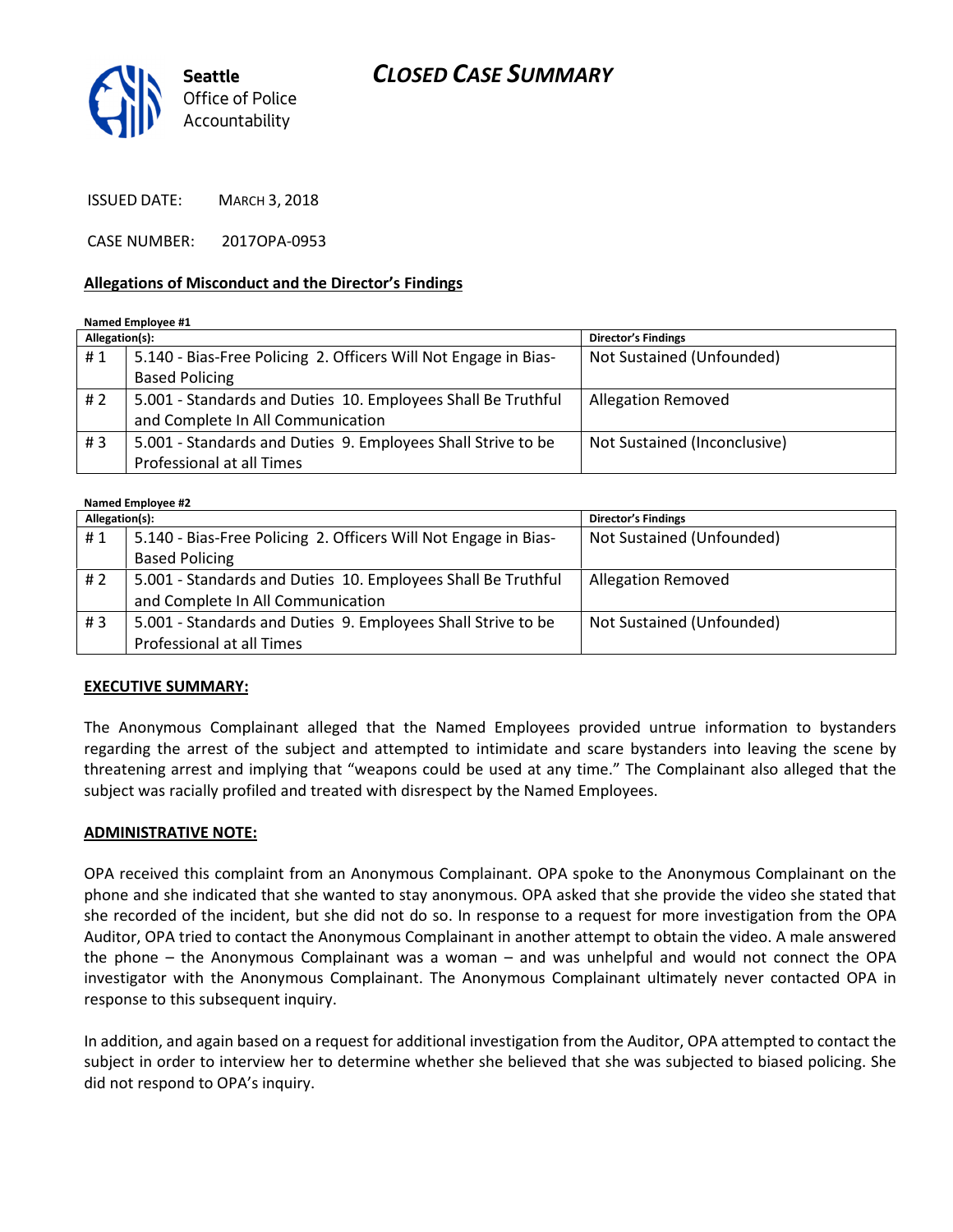



ISSUED DATE: MARCH 3, 2018

CASE NUMBER: 2017OPA-0953

#### Allegations of Misconduct and the Director's Findings

#### Named Employee #1

| Allegation(s): |                                                                 | <b>Director's Findings</b>   |
|----------------|-----------------------------------------------------------------|------------------------------|
| #1             | 5.140 - Bias-Free Policing 2. Officers Will Not Engage in Bias- | Not Sustained (Unfounded)    |
|                | <b>Based Policing</b>                                           |                              |
| #2             | 5.001 - Standards and Duties 10. Employees Shall Be Truthful    | <b>Allegation Removed</b>    |
|                | and Complete In All Communication                               |                              |
| #3             | 5.001 - Standards and Duties 9. Employees Shall Strive to be    | Not Sustained (Inconclusive) |
|                | Professional at all Times                                       |                              |

#### Named Employee #2

| Allegation(s): |                                                                 | <b>Director's Findings</b> |  |
|----------------|-----------------------------------------------------------------|----------------------------|--|
| #1             | 5.140 - Bias-Free Policing 2. Officers Will Not Engage in Bias- | Not Sustained (Unfounded)  |  |
|                | <b>Based Policing</b>                                           |                            |  |
| #2             | 5.001 - Standards and Duties 10. Employees Shall Be Truthful    | <b>Allegation Removed</b>  |  |
|                | and Complete In All Communication                               |                            |  |
| #3             | 5.001 - Standards and Duties 9. Employees Shall Strive to be    | Not Sustained (Unfounded)  |  |
|                | Professional at all Times                                       |                            |  |

#### EXECUTIVE SUMMARY:

The Anonymous Complainant alleged that the Named Employees provided untrue information to bystanders regarding the arrest of the subject and attempted to intimidate and scare bystanders into leaving the scene by threatening arrest and implying that "weapons could be used at any time." The Complainant also alleged that the subject was racially profiled and treated with disrespect by the Named Employees.

#### ADMINISTRATIVE NOTE:

OPA received this complaint from an Anonymous Complainant. OPA spoke to the Anonymous Complainant on the phone and she indicated that she wanted to stay anonymous. OPA asked that she provide the video she stated that she recorded of the incident, but she did not do so. In response to a request for more investigation from the OPA Auditor, OPA tried to contact the Anonymous Complainant in another attempt to obtain the video. A male answered the phone – the Anonymous Complainant was a woman – and was unhelpful and would not connect the OPA investigator with the Anonymous Complainant. The Anonymous Complainant ultimately never contacted OPA in response to this subsequent inquiry.

In addition, and again based on a request for additional investigation from the Auditor, OPA attempted to contact the subject in order to interview her to determine whether she believed that she was subjected to biased policing. She did not respond to OPA's inquiry.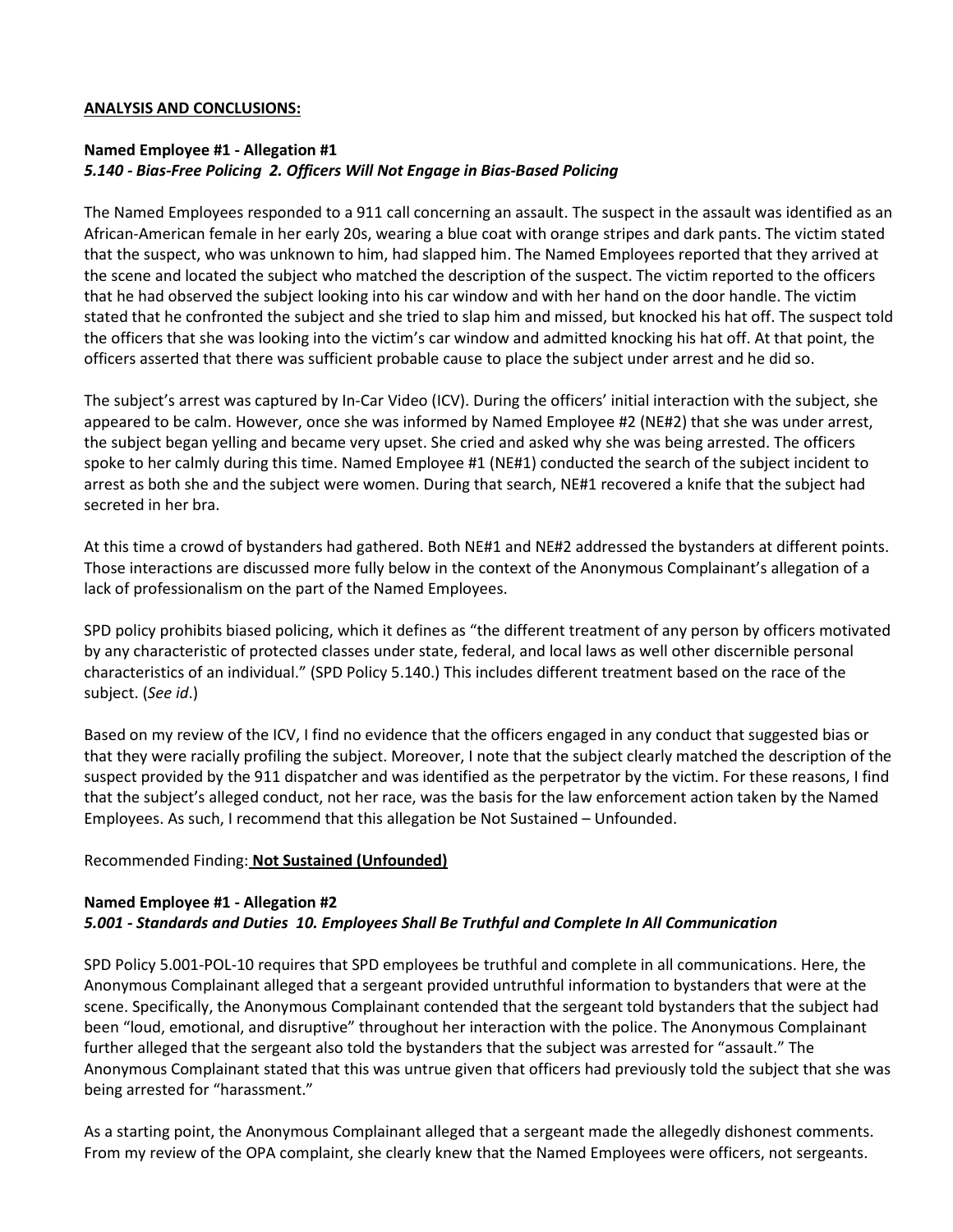#### ANALYSIS AND CONCLUSIONS:

# Named Employee #1 - Allegation #1 5.140 - Bias-Free Policing 2. Officers Will Not Engage in Bias-Based Policing

The Named Employees responded to a 911 call concerning an assault. The suspect in the assault was identified as an African-American female in her early 20s, wearing a blue coat with orange stripes and dark pants. The victim stated that the suspect, who was unknown to him, had slapped him. The Named Employees reported that they arrived at the scene and located the subject who matched the description of the suspect. The victim reported to the officers that he had observed the subject looking into his car window and with her hand on the door handle. The victim stated that he confronted the subject and she tried to slap him and missed, but knocked his hat off. The suspect told the officers that she was looking into the victim's car window and admitted knocking his hat off. At that point, the officers asserted that there was sufficient probable cause to place the subject under arrest and he did so.

The subject's arrest was captured by In-Car Video (ICV). During the officers' initial interaction with the subject, she appeared to be calm. However, once she was informed by Named Employee #2 (NE#2) that she was under arrest, the subject began yelling and became very upset. She cried and asked why she was being arrested. The officers spoke to her calmly during this time. Named Employee #1 (NE#1) conducted the search of the subject incident to arrest as both she and the subject were women. During that search, NE#1 recovered a knife that the subject had secreted in her bra.

At this time a crowd of bystanders had gathered. Both NE#1 and NE#2 addressed the bystanders at different points. Those interactions are discussed more fully below in the context of the Anonymous Complainant's allegation of a lack of professionalism on the part of the Named Employees.

SPD policy prohibits biased policing, which it defines as "the different treatment of any person by officers motivated by any characteristic of protected classes under state, federal, and local laws as well other discernible personal characteristics of an individual." (SPD Policy 5.140.) This includes different treatment based on the race of the subject. (See id.)

Based on my review of the ICV, I find no evidence that the officers engaged in any conduct that suggested bias or that they were racially profiling the subject. Moreover, I note that the subject clearly matched the description of the suspect provided by the 911 dispatcher and was identified as the perpetrator by the victim. For these reasons, I find that the subject's alleged conduct, not her race, was the basis for the law enforcement action taken by the Named Employees. As such, I recommend that this allegation be Not Sustained – Unfounded.

### Recommended Finding: Not Sustained (Unfounded)

#### Named Employee #1 - Allegation #2 5.001 - Standards and Duties 10. Employees Shall Be Truthful and Complete In All Communication

SPD Policy 5.001-POL-10 requires that SPD employees be truthful and complete in all communications. Here, the Anonymous Complainant alleged that a sergeant provided untruthful information to bystanders that were at the scene. Specifically, the Anonymous Complainant contended that the sergeant told bystanders that the subject had been "loud, emotional, and disruptive" throughout her interaction with the police. The Anonymous Complainant further alleged that the sergeant also told the bystanders that the subject was arrested for "assault." The Anonymous Complainant stated that this was untrue given that officers had previously told the subject that she was being arrested for "harassment."

As a starting point, the Anonymous Complainant alleged that a sergeant made the allegedly dishonest comments. From my review of the OPA complaint, she clearly knew that the Named Employees were officers, not sergeants.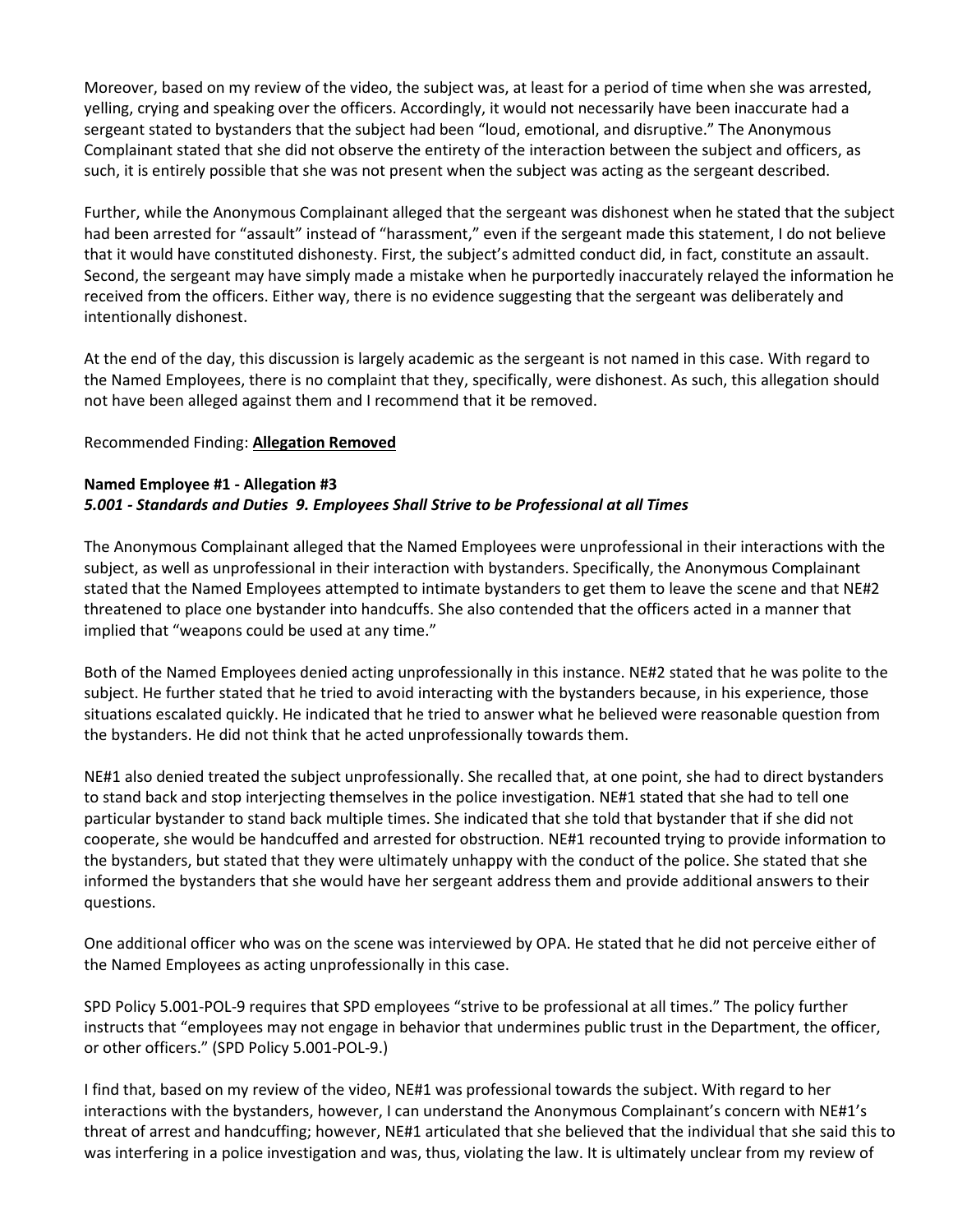Moreover, based on my review of the video, the subject was, at least for a period of time when she was arrested, yelling, crying and speaking over the officers. Accordingly, it would not necessarily have been inaccurate had a sergeant stated to bystanders that the subject had been "loud, emotional, and disruptive." The Anonymous Complainant stated that she did not observe the entirety of the interaction between the subject and officers, as such, it is entirely possible that she was not present when the subject was acting as the sergeant described.

Further, while the Anonymous Complainant alleged that the sergeant was dishonest when he stated that the subject had been arrested for "assault" instead of "harassment," even if the sergeant made this statement, I do not believe that it would have constituted dishonesty. First, the subject's admitted conduct did, in fact, constitute an assault. Second, the sergeant may have simply made a mistake when he purportedly inaccurately relayed the information he received from the officers. Either way, there is no evidence suggesting that the sergeant was deliberately and intentionally dishonest.

At the end of the day, this discussion is largely academic as the sergeant is not named in this case. With regard to the Named Employees, there is no complaint that they, specifically, were dishonest. As such, this allegation should not have been alleged against them and I recommend that it be removed.

## Recommended Finding: Allegation Removed

## Named Employee #1 - Allegation #3 5.001 - Standards and Duties 9. Employees Shall Strive to be Professional at all Times

The Anonymous Complainant alleged that the Named Employees were unprofessional in their interactions with the subject, as well as unprofessional in their interaction with bystanders. Specifically, the Anonymous Complainant stated that the Named Employees attempted to intimate bystanders to get them to leave the scene and that NE#2 threatened to place one bystander into handcuffs. She also contended that the officers acted in a manner that implied that "weapons could be used at any time."

Both of the Named Employees denied acting unprofessionally in this instance. NE#2 stated that he was polite to the subject. He further stated that he tried to avoid interacting with the bystanders because, in his experience, those situations escalated quickly. He indicated that he tried to answer what he believed were reasonable question from the bystanders. He did not think that he acted unprofessionally towards them.

NE#1 also denied treated the subject unprofessionally. She recalled that, at one point, she had to direct bystanders to stand back and stop interjecting themselves in the police investigation. NE#1 stated that she had to tell one particular bystander to stand back multiple times. She indicated that she told that bystander that if she did not cooperate, she would be handcuffed and arrested for obstruction. NE#1 recounted trying to provide information to the bystanders, but stated that they were ultimately unhappy with the conduct of the police. She stated that she informed the bystanders that she would have her sergeant address them and provide additional answers to their questions.

One additional officer who was on the scene was interviewed by OPA. He stated that he did not perceive either of the Named Employees as acting unprofessionally in this case.

SPD Policy 5.001-POL-9 requires that SPD employees "strive to be professional at all times." The policy further instructs that "employees may not engage in behavior that undermines public trust in the Department, the officer, or other officers." (SPD Policy 5.001-POL-9.)

I find that, based on my review of the video, NE#1 was professional towards the subject. With regard to her interactions with the bystanders, however, I can understand the Anonymous Complainant's concern with NE#1's threat of arrest and handcuffing; however, NE#1 articulated that she believed that the individual that she said this to was interfering in a police investigation and was, thus, violating the law. It is ultimately unclear from my review of